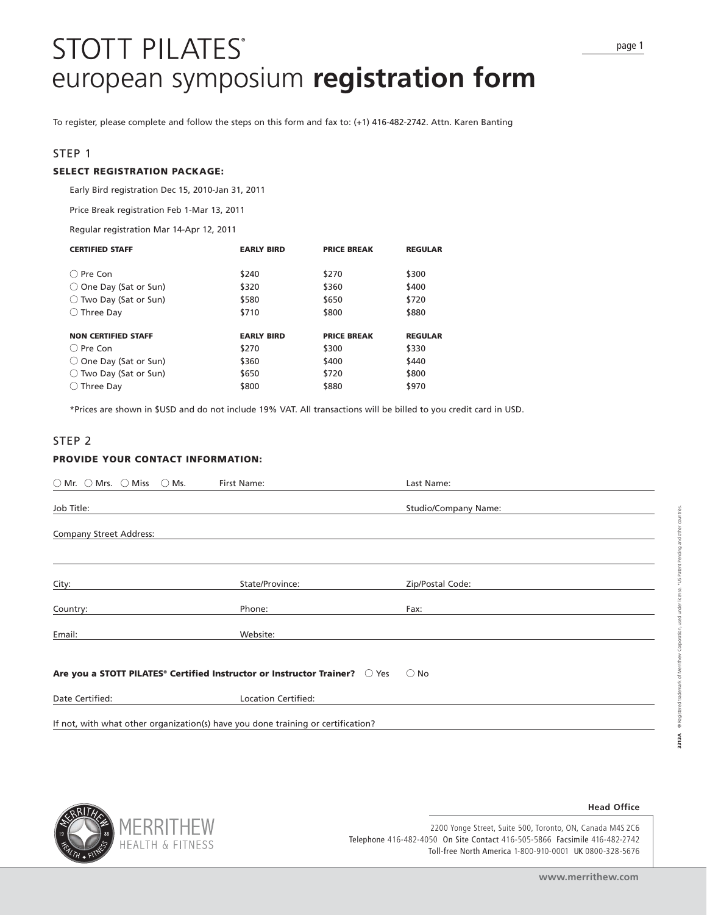# **STOTT PILATES®** european symposium **registration form**

To register, please complete and follow the steps on this form and fax to: (+1) 416-482-2742. Attn. Karen Banting

# STEP 1

# **SELECT REGISTRATION PACKAGE:**

Early Bird registration Dec 15, 2010-Jan 31, 2011

Price Break registration Feb 1-Mar 13, 2011

Regular registration Mar 14-Apr 12, 2011

| <b>CERTIFIED STAFF</b>          | <b>EARLY BIRD</b> | <b>PRICE BREAK</b> | <b>REGULAR</b> |
|---------------------------------|-------------------|--------------------|----------------|
| $\bigcap$ Pre Con               | \$240             | \$270              | \$300          |
| $\bigcirc$ One Day (Sat or Sun) | \$320             | \$360              | \$400          |
| $\bigcirc$ Two Day (Sat or Sun) | \$580             | \$650              | \$720          |
| $\bigcirc$ Three Day            | \$710             | \$800              | \$880          |
|                                 |                   |                    |                |
| <b>NON CERTIFIED STAFF</b>      | <b>EARLY BIRD</b> | <b>PRICE BREAK</b> | <b>REGULAR</b> |
| ○ Pre Con                       | \$270             | \$300              | \$330          |
| $\bigcirc$ One Day (Sat or Sun) | \$360             | \$400              | \$440          |
| $\bigcirc$ Two Day (Sat or Sun) | \$650             | \$720              | \$800          |
| Three Day                       | \$800             | \$880              | \$970          |

\*Prices are shown in \$USD and do not include 19% VAT. All transactions will be billed to you credit card in USD.

# STEP 2

## **PROVIDE YOUR CONTACT INFORMATION:**

| $\bigcirc$ Mr. $\bigcirc$ Mrs. $\bigcirc$ Miss $\bigcirc$ Ms.                                 | First Name:         | Last Name:           |
|-----------------------------------------------------------------------------------------------|---------------------|----------------------|
| Job Title:                                                                                    |                     | Studio/Company Name: |
| <b>Company Street Address:</b>                                                                |                     |                      |
| City:                                                                                         | State/Province:     | Zip/Postal Code:     |
| Country:                                                                                      | Phone:              | Fax:                 |
| Email:                                                                                        | Website:            |                      |
| Are you a STOTT PILATES <sup>®</sup> Certified Instructor or Instructor Trainer? <b>O</b> Yes |                     | $\bigcirc$ No        |
| Date Certified:                                                                               | Location Certified: |                      |
| If not, with what other organization(s) have you done training or certification?              |                     |                      |



2200 Yonge Street, Suite 500, Toronto, ON, Canada M4S 2C6 Telephone 416-482-4050 On Site Contact 416-505-5866 Facsimile 416-482-2742 Toll-free North America 1-800-910-0001 UK 0800-328-5676

**Head Office**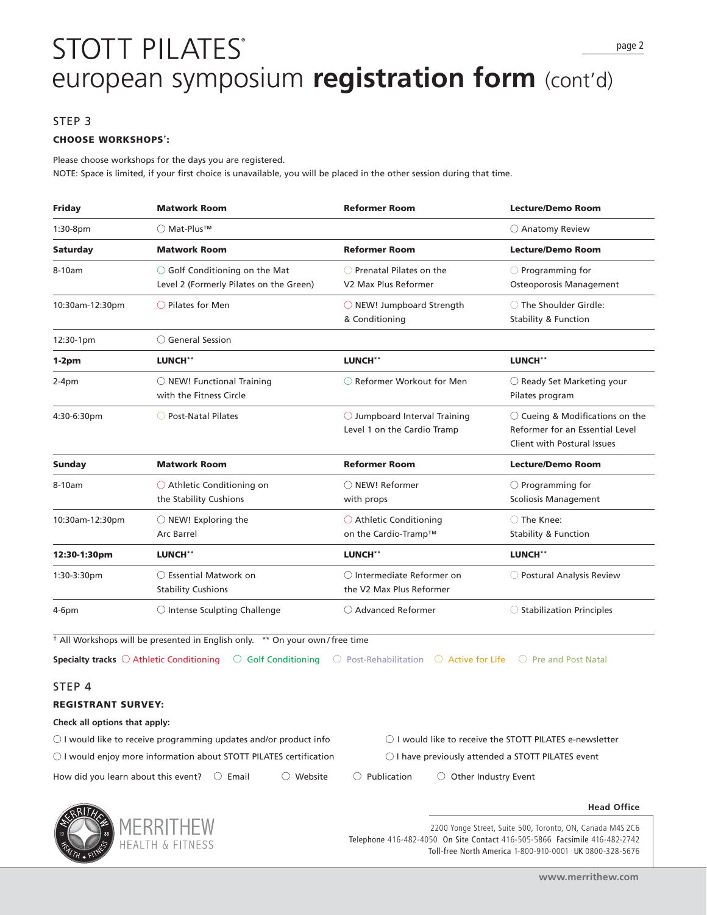# **STOTT PILATES®** european symposium **registration form** (cont'd)

# STEP 3

### **CHOOSE WORKSHOPS† :**

Please choose workshops for the days you are registered. NOTE: Space is limited, if your first choice is unavailable, you will be placed in the other session during that time.

| Friday          | <b>Matwork Room</b>                                                                | <b>Reformer Room</b>                                                  | <b>Lecture/Demo Room</b>                                                                                   |
|-----------------|------------------------------------------------------------------------------------|-----------------------------------------------------------------------|------------------------------------------------------------------------------------------------------------|
| $1:30-8$ pm     | ○ Mat-Plus <sup>TM</sup>                                                           |                                                                       | $\bigcirc$ Anatomy Review                                                                                  |
| <b>Saturday</b> | <b>Matwork Room</b>                                                                | <b>Reformer Room</b>                                                  | <b>Lecture/Demo Room</b>                                                                                   |
| 8-10am          | $\bigcirc$ Golf Conditioning on the Mat<br>Level 2 (Formerly Pilates on the Green) | $\bigcirc$ Prenatal Pilates on the<br>V2 Max Plus Reformer            | $\bigcirc$ Programming for<br>Osteoporosis Management                                                      |
| 10:30am-12:30pm | $\bigcirc$ Pilates for Men                                                         | $\bigcirc$ NEW! Jumpboard Strength<br>& Conditioning                  | ◯ The Shoulder Girdle:<br><b>Stability &amp; Function</b>                                                  |
| 12:30-1pm       | $\bigcirc$ General Session                                                         |                                                                       |                                                                                                            |
| $1-2pm$         | LUNCH**                                                                            | LUNCH**                                                               | LUNCH**                                                                                                    |
| $2-4pm$         | $\bigcirc$ NEW! Functional Training<br>with the Fitness Circle                     | ○ Reformer Workout for Men                                            | $\bigcirc$ Ready Set Marketing your<br>Pilates program                                                     |
| 4:30-6:30pm     | ◯ Post-Natal Pilates                                                               | $\bigcirc$ Jumpboard Interval Training<br>Level 1 on the Cardio Tramp | $\bigcirc$ Cueing & Modifications on the<br>Reformer for an Essential Level<br>Client with Postural Issues |
| Sunday          | <b>Matwork Room</b>                                                                | <b>Reformer Room</b>                                                  | <b>Lecture/Demo Room</b>                                                                                   |
| 8-10am          | $\bigcirc$ Athletic Conditioning on<br>the Stability Cushions                      | ○ NEW! Reformer<br>with props                                         | $\bigcirc$ Programming for<br><b>Scoliosis Management</b>                                                  |
| 10:30am-12:30pm | $\bigcirc$ NEW! Exploring the<br><b>Arc Barrel</b>                                 | ◯ Athletic Conditioning<br>on the Cardio-Tramp™                       | ◯ The Knee:<br><b>Stability &amp; Function</b>                                                             |
| 12:30-1:30pm    | LUNCH**                                                                            | <b>LUNCH**</b>                                                        | <b>LUNCH**</b>                                                                                             |
| 1:30-3:30pm     | $\bigcirc$ Essential Matwork on<br><b>Stability Cushions</b>                       | ○ Intermediate Reformer on<br>the V2 Max Plus Reformer                | O Postural Analysis Review                                                                                 |
| $4-6pm$         | $\bigcirc$ Intense Sculpting Challenge                                             | ○ Advanced Reformer                                                   | $\bigcirc$ Stabilization Principles                                                                        |

† All Workshops will be presented in English only. \*\* On your own / free time

**Specialty tracks** ○ Athletic Conditioning ○ Golf Conditioning ○ Post-Rehabilitation ○ Active for Life ○ Pre and Post Natal

# STEP 4

# **REGISTRANT SURVEY:**

#### **Check all options that apply:**

 $\bigcirc$  I would like to receive programming updates and/or product info  $\hspace{1cm} \bigcirc$  I would like to receive the STOTT PILATES e-newsletter  $\circ$  I would enjoy more information about STOTT PILATES certification  $\circ$  I have previously attended a STOTT PILATES event How did you learn about this event?  $\bigcirc$  Email  $\bigcirc$  Website  $\bigcirc$  Publication  $\bigcirc$  Other Industry Event



2200 Yonge Street, Suite 500, Toronto, ON, Canada M4S 2C6 Telephone 416-482-4050 On Site Contact 416-505-5866 Facsimile 416-482-2742 Toll-free North America 1-800-910-0001 UK 0800-328-5676